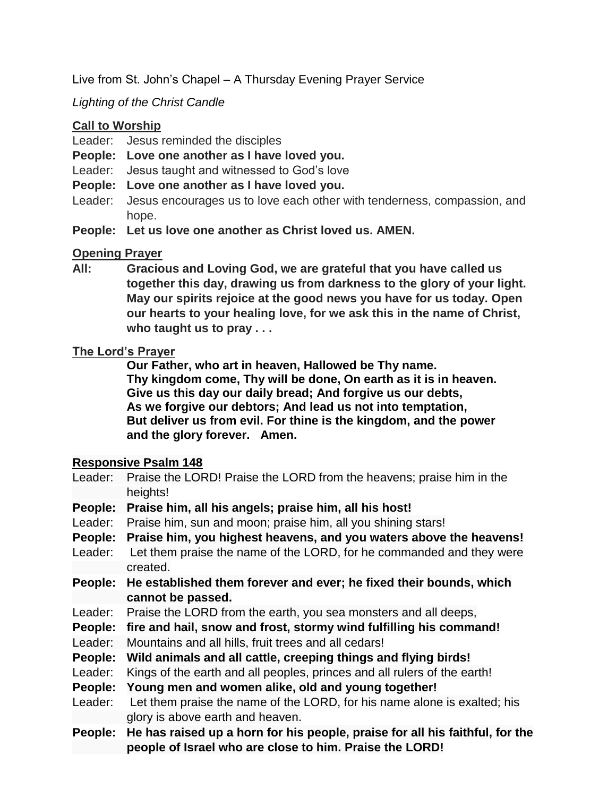Live from St. John's Chapel – A Thursday Evening Prayer Service

# *Lighting of the Christ Candle*

## **Call to Worship**

- Leader: Jesus reminded the disciples
- **People: Love one another as I have loved you.**
- Leader: Jesus taught and witnessed to God's love
- **People: Love one another as I have loved you.**
- Leader: Jesus encourages us to love each other with tenderness, compassion, and hope.
- **People: Let us love one another as Christ loved us. AMEN.**

# **Opening Prayer**

**All: Gracious and Loving God, we are grateful that you have called us together this day, drawing us from darkness to the glory of your light. May our spirits rejoice at the good news you have for us today. Open our hearts to your healing love, for we ask this in the name of Christ, who taught us to pray . . .**

### **The Lord's Prayer**

**Our Father, who art in heaven, Hallowed be Thy name. Thy kingdom come, Thy will be done, On earth as it is in heaven. Give us this day our daily bread; And forgive us our debts, As we forgive our debtors; And lead us not into temptation, But deliver us from evil. For thine is the kingdom, and the power and the glory forever. Amen.**

#### **Responsive Psalm 148**

| Leader: | Praise the LORD! Praise the LORD from the heavens; praise him in the         |
|---------|------------------------------------------------------------------------------|
|         | heights!                                                                     |
| People: | Praise him, all his angels; praise him, all his host!                        |
| Leader: | Praise him, sun and moon; praise him, all you shining stars!                 |
| People: | Praise him, you highest heavens, and you waters above the heavens!           |
| Leader: | Let them praise the name of the LORD, for he commanded and they were         |
|         | created.                                                                     |
| People: | He established them forever and ever; he fixed their bounds, which           |
|         | cannot be passed.                                                            |
| Leader: | Praise the LORD from the earth, you sea monsters and all deeps,              |
| People: | fire and hail, snow and frost, stormy wind fulfilling his command!           |
| Leader: | Mountains and all hills, fruit trees and all cedars!                         |
| People: | Wild animals and all cattle, creeping things and flying birds!               |
| Leader: | Kings of the earth and all peoples, princes and all rulers of the earth!     |
| People: | Young men and women alike, old and young together!                           |
| Leader: | Let them praise the name of the LORD, for his name alone is exalted; his     |
|         | glory is above earth and heaven.                                             |
| People: | He has raised up a horn for his people, praise for all his faithful, for the |
|         | people of Israel who are close to him. Praise the LORD!                      |